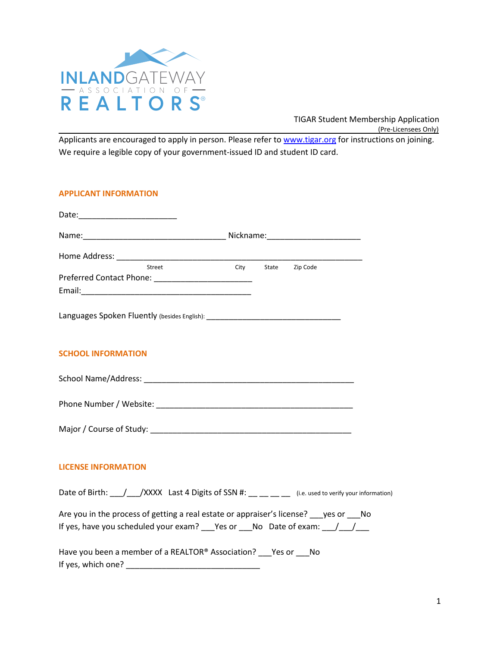

TIGAR Student Membership Application (Pre-Licensees Only)

Applicants are encouraged to apply in person. Please refer to [www.tigar.org](http://www.tigar.org/) for instructions on joining. We require a legible copy of your government-issued ID and student ID card.

# **APPLICANT INFORMATION**

| Street                                                                                                                                                           | City |  | State Zip Code |  |
|------------------------------------------------------------------------------------------------------------------------------------------------------------------|------|--|----------------|--|
|                                                                                                                                                                  |      |  |                |  |
|                                                                                                                                                                  |      |  |                |  |
| Languages Spoken Fluently (besides English): ___________________________________                                                                                 |      |  |                |  |
| <b>SCHOOL INFORMATION</b>                                                                                                                                        |      |  |                |  |
|                                                                                                                                                                  |      |  |                |  |
|                                                                                                                                                                  |      |  |                |  |
|                                                                                                                                                                  |      |  |                |  |
| <b>LICENSE INFORMATION</b>                                                                                                                                       |      |  |                |  |
| Date of Birth: \____/\____/XXXX Last 4 Digits of SSN #: \___ \___ ___ (i.e. used to verify your information)                                                     |      |  |                |  |
| Are you in the process of getting a real estate or appraiser's license? get or Ro<br>If yes, have you scheduled your exam? Pes or No Date of exam: $\frac{1}{2}$ |      |  |                |  |
| Have you been a member of a REALTOR® Association? Pes or Pho                                                                                                     |      |  |                |  |

1